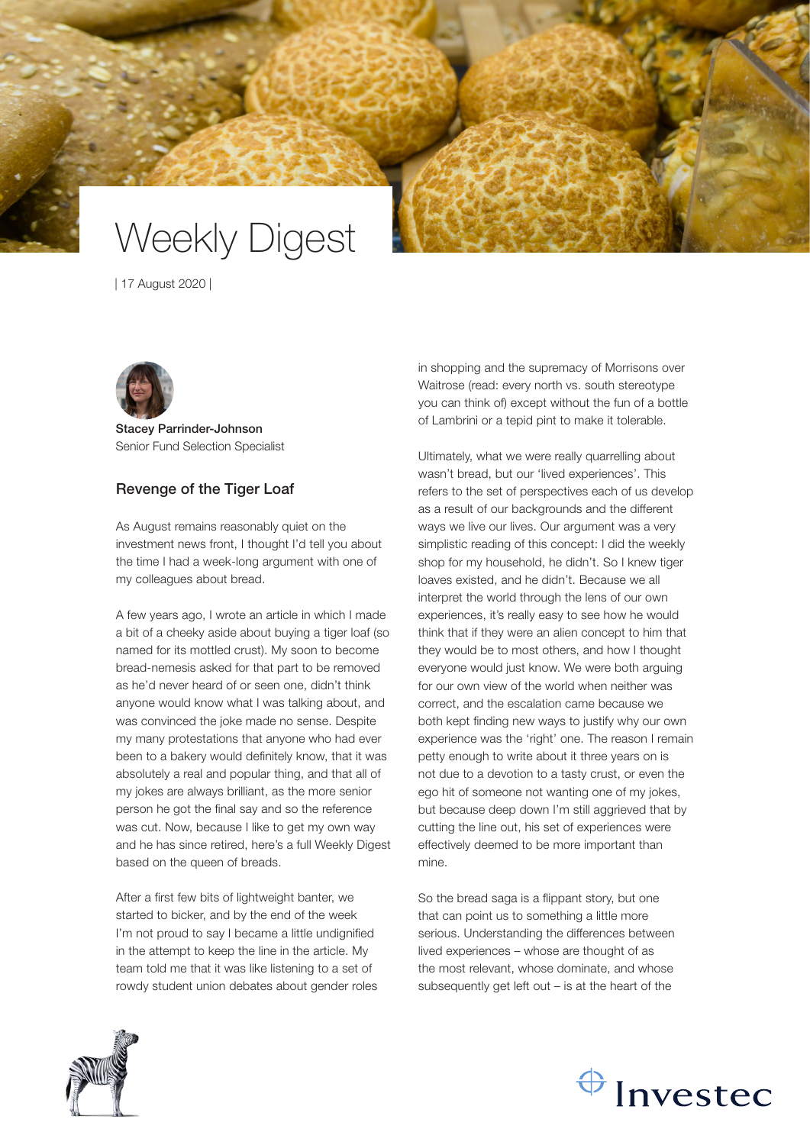# Weekly Digest

| 17 August 2020 |



Stacey Parrinder-Johnson Senior Fund Selection Specialist

## Revenge of the Tiger Loaf

As August remains reasonably quiet on the investment news front, I thought I'd tell you about the time I had a week-long argument with one of my colleagues about bread.

A few years ago, I wrote an article in which I made a bit of a cheeky aside about buying a tiger loaf (so named for its mottled crust). My soon to become bread-nemesis asked for that part to be removed as he'd never heard of or seen one, didn't think anyone would know what I was talking about, and was convinced the joke made no sense. Despite my many protestations that anyone who had ever been to a bakery would definitely know, that it was absolutely a real and popular thing, and that all of my jokes are always brilliant, as the more senior person he got the final say and so the reference was cut. Now, because I like to get my own way and he has since retired, here's a full Weekly Digest based on the queen of breads.

After a first few bits of lightweight banter, we started to bicker, and by the end of the week I'm not proud to say I became a little undignified in the attempt to keep the line in the article. My team told me that it was like listening to a set of rowdy student union debates about gender roles in shopping and the supremacy of Morrisons over Waitrose (read: every north vs. south stereotype you can think of) except without the fun of a bottle of Lambrini or a tepid pint to make it tolerable.

Ultimately, what we were really quarrelling about wasn't bread, but our 'lived experiences'. This refers to the set of perspectives each of us develop as a result of our backgrounds and the different ways we live our lives. Our argument was a very simplistic reading of this concept: I did the weekly shop for my household, he didn't. So I knew tiger loaves existed, and he didn't. Because we all interpret the world through the lens of our own experiences, it's really easy to see how he would think that if they were an alien concept to him that they would be to most others, and how I thought everyone would just know. We were both arguing for our own view of the world when neither was correct, and the escalation came because we both kept finding new ways to justify why our own experience was the 'right' one. The reason I remain petty enough to write about it three years on is not due to a devotion to a tasty crust, or even the ego hit of someone not wanting one of my jokes, but because deep down I'm still aggrieved that by cutting the line out, his set of experiences were effectively deemed to be more important than mine.

So the bread saga is a flippant story, but one that can point us to something a little more serious. Understanding the differences between lived experiences – whose are thought of as the most relevant, whose dominate, and whose subsequently get left out – is at the heart of the



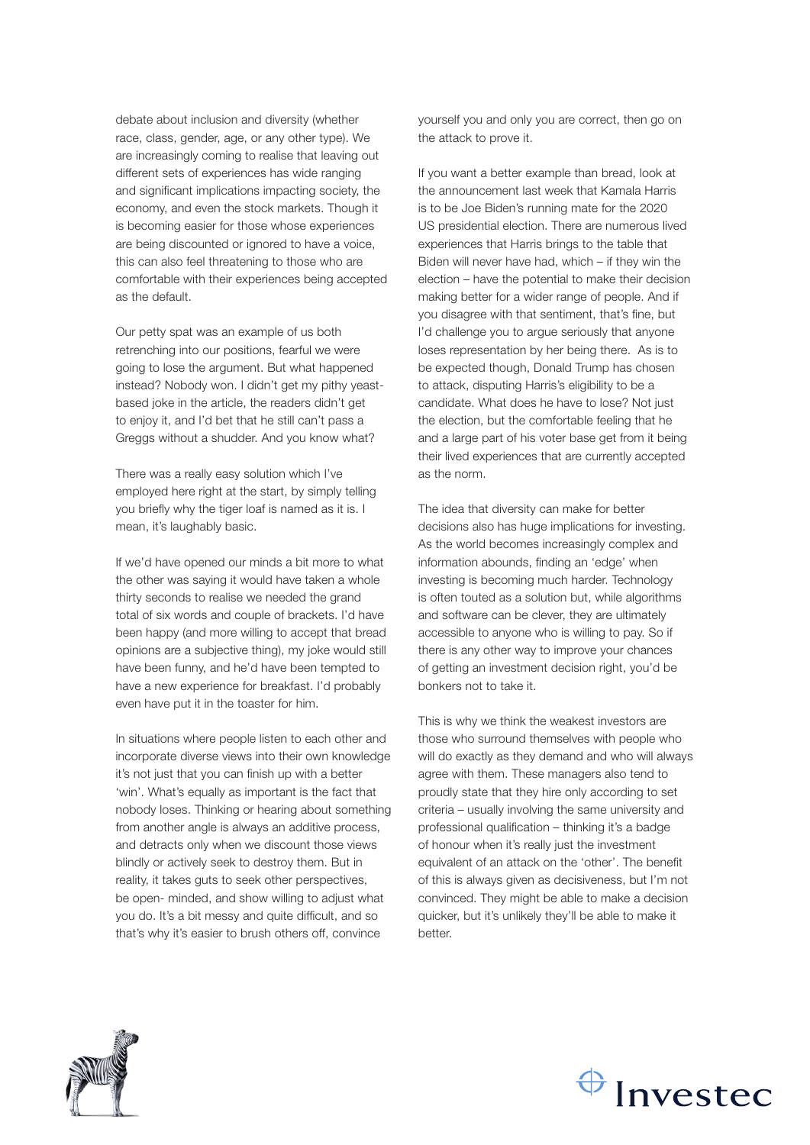debate about inclusion and diversity (whether race, class, gender, age, or any other type). We are increasingly coming to realise that leaving out different sets of experiences has wide ranging and significant implications impacting society, the economy, and even the stock markets. Though it is becoming easier for those whose experiences are being discounted or ignored to have a voice, this can also feel threatening to those who are comfortable with their experiences being accepted as the default.

Our petty spat was an example of us both retrenching into our positions, fearful we were going to lose the argument. But what happened instead? Nobody won. I didn't get my pithy yeastbased joke in the article, the readers didn't get to enjoy it, and I'd bet that he still can't pass a Greggs without a shudder. And you know what?

There was a really easy solution which I've employed here right at the start, by simply telling you briefly why the tiger loaf is named as it is. I mean, it's laughably basic.

If we'd have opened our minds a bit more to what the other was saying it would have taken a whole thirty seconds to realise we needed the grand total of six words and couple of brackets. I'd have been happy (and more willing to accept that bread opinions are a subjective thing), my joke would still have been funny, and he'd have been tempted to have a new experience for breakfast. I'd probably even have put it in the toaster for him.

In situations where people listen to each other and incorporate diverse views into their own knowledge it's not just that you can finish up with a better 'win'. What's equally as important is the fact that nobody loses. Thinking or hearing about something from another angle is always an additive process, and detracts only when we discount those views blindly or actively seek to destroy them. But in reality, it takes guts to seek other perspectives, be open- minded, and show willing to adjust what you do. It's a bit messy and quite difficult, and so that's why it's easier to brush others off, convince

yourself you and only you are correct, then go on the attack to prove it.

If you want a better example than bread, look at the announcement last week that Kamala Harris is to be Joe Biden's running mate for the 2020 US presidential election. There are numerous lived experiences that Harris brings to the table that Biden will never have had, which – if they win the election – have the potential to make their decision making better for a wider range of people. And if you disagree with that sentiment, that's fine, but I'd challenge you to argue seriously that anyone loses representation by her being there. As is to be expected though, Donald Trump has chosen to attack, disputing Harris's eligibility to be a candidate. What does he have to lose? Not just the election, but the comfortable feeling that he and a large part of his voter base get from it being their lived experiences that are currently accepted as the norm.

The idea that diversity can make for better decisions also has huge implications for investing. As the world becomes increasingly complex and information abounds, finding an 'edge' when investing is becoming much harder. Technology is often touted as a solution but, while algorithms and software can be clever, they are ultimately accessible to anyone who is willing to pay. So if there is any other way to improve your chances of getting an investment decision right, you'd be bonkers not to take it.

This is why we think the weakest investors are those who surround themselves with people who will do exactly as they demand and who will always agree with them. These managers also tend to proudly state that they hire only according to set criteria – usually involving the same university and professional qualification – thinking it's a badge of honour when it's really just the investment equivalent of an attack on the 'other'. The benefit of this is always given as decisiveness, but I'm not convinced. They might be able to make a decision quicker, but it's unlikely they'll be able to make it hetter



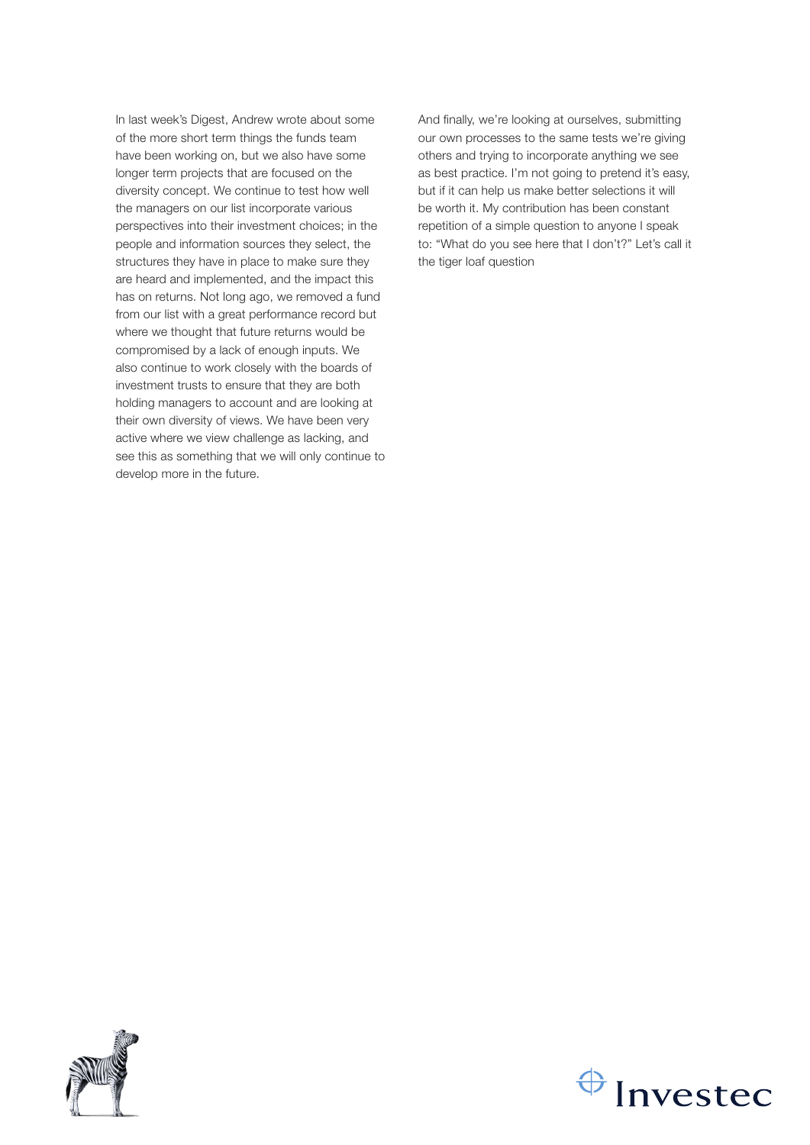In last week's Digest, Andrew wrote about some of the more short term things the funds team have been working on, but we also have some longer term projects that are focused on the diversity concept. We continue to test how well the managers on our list incorporate various perspectives into their investment choices; in the people and information sources they select, the structures they have in place to make sure they are heard and implemented, and the impact this has on returns. Not long ago, we removed a fund from our list with a great performance record but where we thought that future returns would be compromised by a lack of enough inputs. We also continue to work closely with the boards of investment trusts to ensure that they are both holding managers to account and are looking at their own diversity of views. We have been very active where we view challenge as lacking, and see this as something that we will only continue to develop more in the future.

And finally, we're looking at ourselves, submitting our own processes to the same tests we're giving others and trying to incorporate anything we see as best practice. I'm not going to pretend it's easy, but if it can help us make better selections it will be worth it. My contribution has been constant repetition of a simple question to anyone I speak to: "What do you see here that I don't?" Let's call it the tiger loaf question